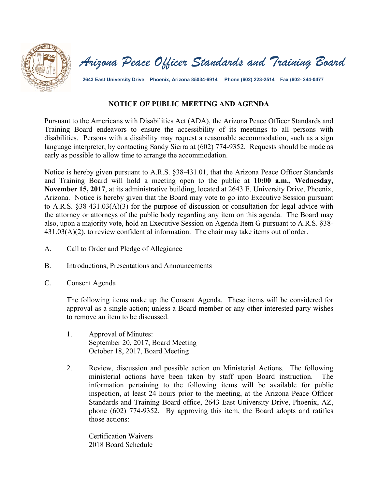



**2643 East University Drive Phoenix, Arizona 85034-6914 Phone (602) 223-2514 Fax (602- 244-0477** 

## **NOTICE OF PUBLIC MEETING AND AGENDA**

Pursuant to the Americans with Disabilities Act (ADA), the Arizona Peace Officer Standards and Training Board endeavors to ensure the accessibility of its meetings to all persons with disabilities. Persons with a disability may request a reasonable accommodation, such as a sign language interpreter, by contacting Sandy Sierra at (602) 774-9352. Requests should be made as early as possible to allow time to arrange the accommodation.

Notice is hereby given pursuant to A.R.S. §38-431.01, that the Arizona Peace Officer Standards and Training Board will hold a meeting open to the public at **10:00 a.m., Wednesday, November 15, 2017**, at its administrative building, located at 2643 E. University Drive, Phoenix, Arizona. Notice is hereby given that the Board may vote to go into Executive Session pursuant to A.R.S. §38-431.03(A)(3) for the purpose of discussion or consultation for legal advice with the attorney or attorneys of the public body regarding any item on this agenda. The Board may also, upon a majority vote, hold an Executive Session on Agenda Item G pursuant to A.R.S. §38- 431.03(A)(2), to review confidential information. The chair may take items out of order.

- A. Call to Order and Pledge of Allegiance
- B. Introductions, Presentations and Announcements
- C. Consent Agenda

The following items make up the Consent Agenda. These items will be considered for approval as a single action; unless a Board member or any other interested party wishes to remove an item to be discussed.

- 1. Approval of Minutes: September 20, 2017, Board Meeting October 18, 2017, Board Meeting
- 2. Review, discussion and possible action on Ministerial Actions. The following ministerial actions have been taken by staff upon Board instruction. The information pertaining to the following items will be available for public inspection, at least 24 hours prior to the meeting, at the Arizona Peace Officer Standards and Training Board office, 2643 East University Drive, Phoenix, AZ, phone (602) 774-9352. By approving this item, the Board adopts and ratifies those actions:

Certification Waivers 2018 Board Schedule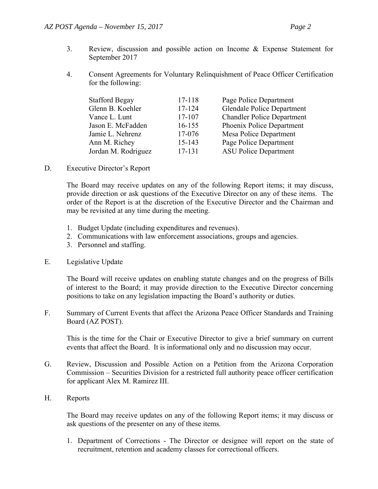- 3. Review, discussion and possible action on Income & Expense Statement for September 2017
- 4. Consent Agreements for Voluntary Relinquishment of Peace Officer Certification for the following:

| 17-118 | Page Police Department            |
|--------|-----------------------------------|
| 17-124 | <b>Glendale Police Department</b> |
| 17-107 | <b>Chandler Police Department</b> |
| 16-155 | Phoenix Police Department         |
| 17-076 | Mesa Police Department            |
| 15-143 | Page Police Department            |
| 17-131 | <b>ASU Police Department</b>      |
|        |                                   |

D. Executive Director's Report

The Board may receive updates on any of the following Report items; it may discuss, provide direction or ask questions of the Executive Director on any of these items. The order of the Report is at the discretion of the Executive Director and the Chairman and may be revisited at any time during the meeting.

- 1. Budget Update (including expenditures and revenues).
- 2. Communications with law enforcement associations, groups and agencies.
- 3. Personnel and staffing.
- E. Legislative Update

 The Board will receive updates on enabling statute changes and on the progress of Bills of interest to the Board; it may provide direction to the Executive Director concerning positions to take on any legislation impacting the Board's authority or duties.

F. Summary of Current Events that affect the Arizona Peace Officer Standards and Training Board (AZ POST).

This is the time for the Chair or Executive Director to give a brief summary on current events that affect the Board. It is informational only and no discussion may occur.

- G. Review, Discussion and Possible Action on a Petition from the Arizona Corporation Commission – Securities Division for a restricted full authority peace officer certification for applicant Alex M. Ramirez III.
- H. Reports

The Board may receive updates on any of the following Report items; it may discuss or ask questions of the presenter on any of these items.

1. Department of Corrections - The Director or designee will report on the state of recruitment, retention and academy classes for correctional officers.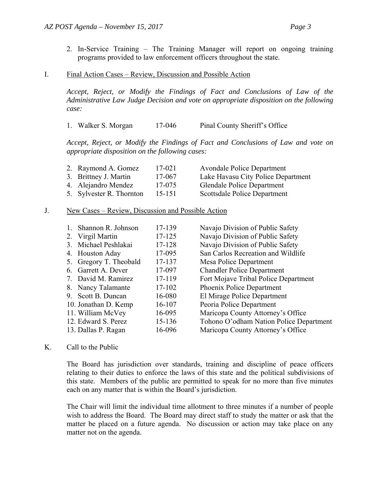2. In-Service Training – The Training Manager will report on ongoing training programs provided to law enforcement officers throughout the state.

## I. Final Action Cases – Review, Discussion and Possible Action

*Accept, Reject, or Modify the Findings of Fact and Conclusions of Law of the Administrative Law Judge Decision and vote on appropriate disposition on the following case:* 

1. Walker S. Morgan 17-046 Pinal County Sheriff's Office

*Accept, Reject, or Modify the Findings of Fact and Conclusions of Law and vote on appropriate disposition on the following cases:* 

| 2. Raymond A. Gomez      | 17-021 | <b>Avondale Police Department</b>  |
|--------------------------|--------|------------------------------------|
| 3. Brittney J. Martin    | 17-067 | Lake Havasu City Police Department |
| 4. Alejandro Mendez      | 17-075 | <b>Glendale Police Department</b>  |
| 5. Sylvester R. Thornton | 15-151 | Scottsdale Police Department       |

## J. New Cases – Review, Discussion and Possible Action

|         | Shannon R. Johnson     | 17-139 | Navajo Division of Public Safety        |
|---------|------------------------|--------|-----------------------------------------|
|         | 2. Virgil Martin       | 17-125 | Navajo Division of Public Safety        |
|         | 3. Michael Peshlakai   | 17-128 | Navajo Division of Public Safety        |
|         | 4. Houston Aday        | 17-095 | San Carlos Recreation and Wildlife      |
|         | 5. Gregory T. Theobald | 17-137 | Mesa Police Department                  |
|         | 6. Garrett A. Dever    | 17-097 | <b>Chandler Police Department</b>       |
|         | 7. David M. Ramirez    | 17-119 | Fort Mojave Tribal Police Department    |
|         | 8. Nancy Talamante     | 17-102 | Phoenix Police Department               |
| $9^{+}$ | Scott B. Duncan        | 16-080 | El Mirage Police Department             |
|         | 10. Jonathan D. Kemp   | 16-107 | Peoria Police Department                |
|         | 11. William McVey      | 16-095 | Maricopa County Attorney's Office       |
|         | 12. Edward S. Perez    | 15-136 | Tohono O'odham Nation Police Department |
|         | 13. Dallas P. Ragan    | 16-096 | Maricopa County Attorney's Office       |

## K. Call to the Public

The Board has jurisdiction over standards, training and discipline of peace officers relating to their duties to enforce the laws of this state and the political subdivisions of this state. Members of the public are permitted to speak for no more than five minutes each on any matter that is within the Board's jurisdiction.

The Chair will limit the individual time allotment to three minutes if a number of people wish to address the Board. The Board may direct staff to study the matter or ask that the matter be placed on a future agenda. No discussion or action may take place on any matter not on the agenda.